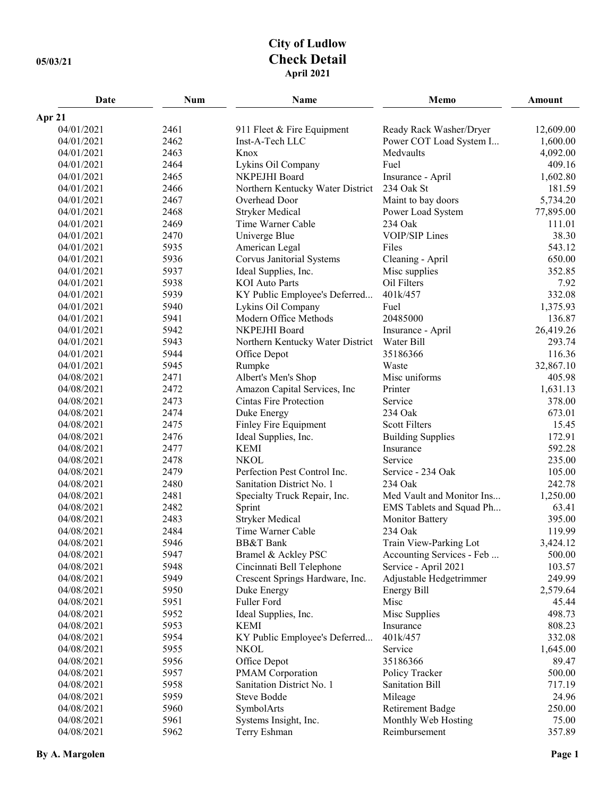## **City of Ludlow 05/03/21 Check Detail April 2021**

| Date       | <b>Num</b> | Name                             | Memo                      | Amount    |
|------------|------------|----------------------------------|---------------------------|-----------|
| Apr 21     |            |                                  |                           |           |
| 04/01/2021 | 2461       | 911 Fleet & Fire Equipment       | Ready Rack Washer/Dryer   | 12,609.00 |
| 04/01/2021 | 2462       | Inst-A-Tech LLC                  | Power COT Load System I   | 1,600.00  |
| 04/01/2021 | 2463       | Knox                             | Medvaults                 | 4,092.00  |
| 04/01/2021 | 2464       | Lykins Oil Company               | Fuel                      | 409.16    |
| 04/01/2021 | 2465       | NKPEJHI Board                    | Insurance - April         | 1,602.80  |
| 04/01/2021 | 2466       | Northern Kentucky Water District | 234 Oak St                | 181.59    |
| 04/01/2021 | 2467       | Overhead Door                    | Maint to bay doors        | 5,734.20  |
| 04/01/2021 | 2468       | <b>Stryker Medical</b>           | Power Load System         | 77,895.00 |
| 04/01/2021 | 2469       | Time Warner Cable                | 234 Oak                   | 111.01    |
| 04/01/2021 | 2470       | Univerge Blue                    | <b>VOIP/SIP Lines</b>     | 38.30     |
| 04/01/2021 | 5935       | American Legal                   | Files                     | 543.12    |
| 04/01/2021 | 5936       | Corvus Janitorial Systems        | Cleaning - April          | 650.00    |
| 04/01/2021 | 5937       | Ideal Supplies, Inc.             | Misc supplies             | 352.85    |
| 04/01/2021 | 5938       | <b>KOI</b> Auto Parts            | Oil Filters               | 7.92      |
| 04/01/2021 | 5939       | KY Public Employee's Deferred    | 401k/457                  | 332.08    |
| 04/01/2021 | 5940       | Lykins Oil Company               | Fuel                      | 1,375.93  |
| 04/01/2021 | 5941       | Modern Office Methods            | 20485000                  | 136.87    |
| 04/01/2021 | 5942       | NKPEJHI Board                    | Insurance - April         | 26,419.26 |
| 04/01/2021 | 5943       | Northern Kentucky Water District | Water Bill                | 293.74    |
| 04/01/2021 | 5944       | Office Depot                     | 35186366                  | 116.36    |
| 04/01/2021 | 5945       | Rumpke                           | Waste                     | 32,867.10 |
| 04/08/2021 | 2471       | Albert's Men's Shop              | Misc uniforms             | 405.98    |
| 04/08/2021 | 2472       | Amazon Capital Services, Inc     | Printer                   | 1,631.13  |
| 04/08/2021 | 2473       | <b>Cintas Fire Protection</b>    | Service                   | 378.00    |
| 04/08/2021 | 2474       | Duke Energy                      | 234 Oak                   | 673.01    |
| 04/08/2021 | 2475       | Finley Fire Equipment            | <b>Scott Filters</b>      | 15.45     |
| 04/08/2021 | 2476       | Ideal Supplies, Inc.             | <b>Building Supplies</b>  | 172.91    |
| 04/08/2021 | 2477       | <b>KEMI</b>                      | Insurance                 | 592.28    |
| 04/08/2021 | 2478       | <b>NKOL</b>                      | Service                   | 235.00    |
| 04/08/2021 | 2479       | Perfection Pest Control Inc.     | Service - 234 Oak         | 105.00    |
| 04/08/2021 | 2480       | Sanitation District No. 1        | 234 Oak                   | 242.78    |
| 04/08/2021 | 2481       | Specialty Truck Repair, Inc.     | Med Vault and Monitor Ins | 1,250.00  |
| 04/08/2021 | 2482       | Sprint                           | EMS Tablets and Squad Ph  | 63.41     |
| 04/08/2021 | 2483       | <b>Stryker Medical</b>           | <b>Monitor Battery</b>    | 395.00    |
| 04/08/2021 | 2484       | Time Warner Cable                | 234 Oak                   | 119.99    |
| 04/08/2021 | 5946       | <b>BB&amp;T</b> Bank             | Train View-Parking Lot    | 3,424.12  |
| 04/08/2021 | 5947       | Bramel & Ackley PSC              | Accounting Services - Feb | 500.00    |
| 04/08/2021 | 5948       | Cincinnati Bell Telephone        | Service - April 2021      | 103.57    |
| 04/08/2021 | 5949       | Crescent Springs Hardware, Inc.  | Adjustable Hedgetrimmer   | 249.99    |
| 04/08/2021 | 5950       | Duke Energy                      | <b>Energy Bill</b>        | 2,579.64  |
| 04/08/2021 | 5951       | Fuller Ford                      | Misc                      | 45.44     |
| 04/08/2021 | 5952       | Ideal Supplies, Inc.             | Misc Supplies             | 498.73    |
| 04/08/2021 | 5953       | <b>KEMI</b>                      | Insurance                 | 808.23    |
| 04/08/2021 | 5954       | KY Public Employee's Deferred    | 401k/457                  | 332.08    |
| 04/08/2021 | 5955       | <b>NKOL</b>                      | Service                   | 1,645.00  |
| 04/08/2021 | 5956       | Office Depot                     | 35186366                  | 89.47     |
| 04/08/2021 | 5957       | PMAM Corporation                 | Policy Tracker            | 500.00    |
| 04/08/2021 | 5958       | Sanitation District No. 1        | <b>Sanitation Bill</b>    | 717.19    |
| 04/08/2021 | 5959       | Steve Bodde                      | Mileage                   | 24.96     |
| 04/08/2021 | 5960       | SymbolArts                       | <b>Retirement Badge</b>   | 250.00    |
| 04/08/2021 | 5961       | Systems Insight, Inc.            | Monthly Web Hosting       | 75.00     |
| 04/08/2021 | 5962       | Terry Eshman                     | Reimbursement             | 357.89    |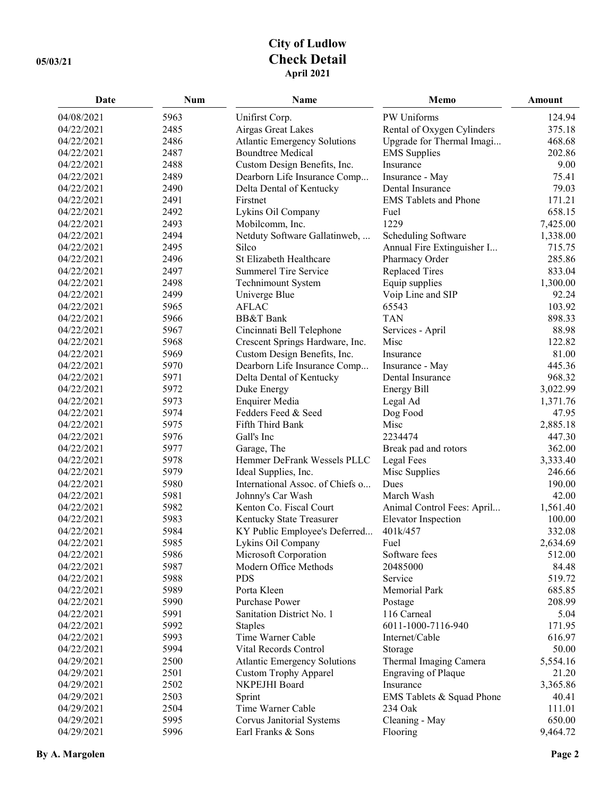## **City of Ludlow 05/03/21 Check Detail April 2021**

| Date                     | <b>Num</b>   | Name                                                      | Memo                                   | Amount           |
|--------------------------|--------------|-----------------------------------------------------------|----------------------------------------|------------------|
| 04/08/2021               | 5963         | Unifirst Corp.                                            | PW Uniforms                            | 124.94           |
| 04/22/2021               | 2485         | Airgas Great Lakes                                        | Rental of Oxygen Cylinders             | 375.18           |
| 04/22/2021               | 2486         | Atlantic Emergency Solutions                              | Upgrade for Thermal Imagi              | 468.68           |
| 04/22/2021               | 2487         | <b>Boundtree Medical</b>                                  | <b>EMS</b> Supplies                    | 202.86           |
| 04/22/2021               | 2488         | Custom Design Benefits, Inc.                              | Insurance                              | 9.00             |
| 04/22/2021               | 2489         | Dearborn Life Insurance Comp                              | Insurance - May                        | 75.41            |
| 04/22/2021               | 2490         | Delta Dental of Kentucky                                  | Dental Insurance                       | 79.03            |
| 04/22/2021               | 2491         | Firstnet                                                  | <b>EMS</b> Tablets and Phone           | 171.21           |
| 04/22/2021               | 2492         | Lykins Oil Company                                        | Fuel                                   | 658.15           |
| 04/22/2021               | 2493         | Mobilcomm, Inc.                                           | 1229                                   | 7,425.00         |
| 04/22/2021               | 2494         | Netduty Software Gallatinweb,                             | Scheduling Software                    | 1,338.00         |
| 04/22/2021               | 2495         | Silco                                                     | Annual Fire Extinguisher I             | 715.75           |
| 04/22/2021               | 2496         | St Elizabeth Healthcare                                   | Pharmacy Order                         | 285.86           |
| 04/22/2021               | 2497         | <b>Summerel Tire Service</b>                              | <b>Replaced Tires</b>                  | 833.04           |
| 04/22/2021               | 2498         | Technimount System                                        | Equip supplies                         | 1,300.00         |
| 04/22/2021               | 2499         | Univerge Blue                                             | Voip Line and SIP                      | 92.24            |
| 04/22/2021               | 5965         | <b>AFLAC</b>                                              | 65543                                  | 103.92           |
| 04/22/2021               | 5966         | <b>BB&amp;T</b> Bank                                      | <b>TAN</b>                             | 898.33           |
| 04/22/2021               | 5967         | Cincinnati Bell Telephone                                 | Services - April                       | 88.98            |
| 04/22/2021               | 5968         | Crescent Springs Hardware, Inc.                           | Misc                                   | 122.82           |
| 04/22/2021               | 5969         | Custom Design Benefits, Inc.                              | Insurance                              | 81.00            |
| 04/22/2021               | 5970         | Dearborn Life Insurance Comp                              | Insurance - May                        | 445.36           |
| 04/22/2021               | 5971         | Delta Dental of Kentucky                                  | Dental Insurance                       | 968.32           |
| 04/22/2021               | 5972         | Duke Energy                                               | <b>Energy Bill</b>                     | 3,022.99         |
| 04/22/2021               | 5973         | <b>Enquirer Media</b>                                     | Legal Ad                               | 1,371.76         |
| 04/22/2021               | 5974         | Fedders Feed & Seed                                       | Dog Food                               | 47.95            |
| 04/22/2021               | 5975         | Fifth Third Bank                                          | Misc                                   | 2,885.18         |
| 04/22/2021               | 5976         | Gall's Inc                                                | 2234474                                | 447.30           |
| 04/22/2021               | 5977         |                                                           |                                        | 362.00           |
| 04/22/2021               | 5978         | Garage, The<br>Hemmer DeFrank Wessels PLLC                | Break pad and rotors                   | 3,333.40         |
| 04/22/2021               | 5979         | Ideal Supplies, Inc.                                      | Legal Fees                             | 246.66           |
| 04/22/2021               | 5980         | International Assoc. of Chiefs o                          | Misc Supplies<br>Dues                  | 190.00           |
| 04/22/2021               | 5981         | Johnny's Car Wash                                         | March Wash                             | 42.00            |
| 04/22/2021               | 5982         | Kenton Co. Fiscal Court                                   |                                        | 1,561.40         |
| 04/22/2021               | 5983         |                                                           | Animal Control Fees: April             | 100.00           |
| 04/22/2021               | 5984         | Kentucky State Treasurer<br>KY Public Employee's Deferred | <b>Elevator Inspection</b><br>401k/457 | 332.08           |
|                          |              |                                                           |                                        |                  |
| 04/22/2021               | 5985         | Lykins Oil Company                                        | Fuel                                   | 2,634.69         |
| 04/22/2021<br>04/22/2021 | 5986<br>5987 | Microsoft Corporation<br>Modern Office Methods            | Software fees<br>20485000              | 512.00<br>84.48  |
|                          | 5988         | <b>PDS</b>                                                | Service                                |                  |
| 04/22/2021<br>04/22/2021 | 5989         |                                                           |                                        | 519.72<br>685.85 |
| 04/22/2021               | 5990         | Porta Kleen<br>Purchase Power                             | Memorial Park                          | 208.99           |
| 04/22/2021               | 5991         |                                                           | Postage<br>116 Carneal                 | 5.04             |
|                          |              | Sanitation District No. 1                                 | 6011-1000-7116-940                     | 171.95           |
| 04/22/2021               | 5992         | <b>Staples</b>                                            | Internet/Cable                         |                  |
| 04/22/2021               | 5993         | Time Warner Cable                                         |                                        | 616.97           |
| 04/22/2021               | 5994         | Vital Records Control                                     | Storage                                | 50.00            |
| 04/29/2021               | 2500         | <b>Atlantic Emergency Solutions</b>                       | Thermal Imaging Camera                 | 5,554.16         |
| 04/29/2021               | 2501         | <b>Custom Trophy Apparel</b>                              | <b>Engraving of Plaque</b>             | 21.20            |
| 04/29/2021               | 2502         | NKPEJHI Board                                             | Insurance                              | 3,365.86         |
| 04/29/2021               | 2503         | Sprint                                                    | EMS Tablets & Squad Phone              | 40.41            |
| 04/29/2021               | 2504         | Time Warner Cable                                         | 234 Oak                                | 111.01           |
| 04/29/2021               | 5995         | Corvus Janitorial Systems                                 | Cleaning - May                         | 650.00           |
| 04/29/2021               | 5996         | Earl Franks & Sons                                        | Flooring                               | 9,464.72         |